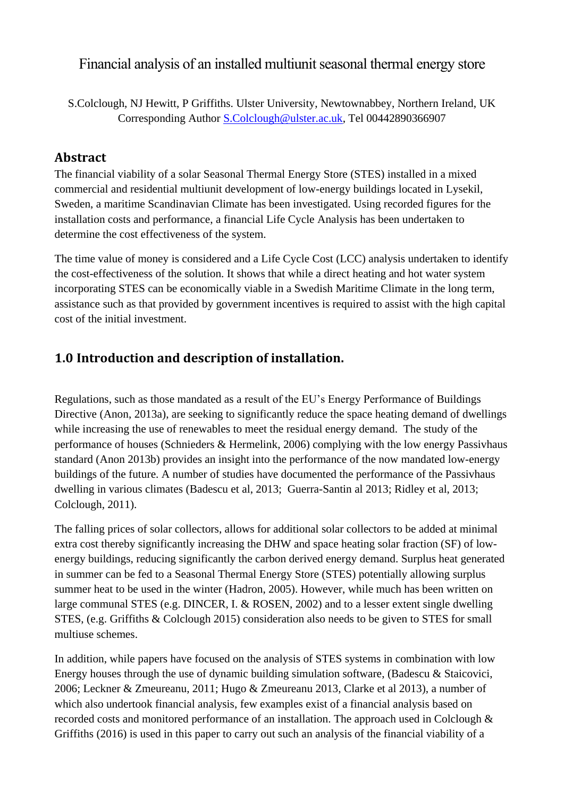Financial analysis of an installed multiunit seasonal thermal energy store

## **Abstract**

The financial viability of a solar Seasonal Thermal Energy Store (STES) installed in a mixed commercial and residential multiunit development of low-energy buildings located in Lysekil, Sweden, a maritime Scandinavian Climate has been investigated. Using recorded figures for the installation costs and performance, a financial Life Cycle Analysis has been undertaken to determine the cost effectiveness of the system.

The time value of money is considered and a Life Cycle Cost (LCC) analysis undertaken to identify the cost-effectiveness of the solution. It shows that while a direct heating and hot water system incorporating STES can be economically viable in a Swedish Maritime Climate in the long term, assistance such as that provided by government incentives is required to assist with the high capital cost of the initial investment.

# **1.0 Introduction and description of installation.**

Regulations, such as those mandated as a result of the EU's Energy Performance of Buildings Directive (Anon, 2013a), are seeking to significantly reduce the space heating demand of dwellings while increasing the use of renewables to meet the residual energy demand. The study of the performance of houses (Schnieders & Hermelink, 2006) complying with the low energy Passivhaus standard (Anon 2013b) provides an insight into the performance of the now mandated low-energy buildings of the future. A number of studies have documented the performance of the Passivhaus dwelling in various climates (Badescu et al, 2013; Guerra-Santin al 2013; Ridley et al, 2013; Colclough, 2011).

The falling prices of solar collectors, allows for additional solar collectors to be added at minimal extra cost thereby significantly increasing the DHW and space heating solar fraction (SF) of lowenergy buildings, reducing significantly the carbon derived energy demand. Surplus heat generated in summer can be fed to a Seasonal Thermal Energy Store (STES) potentially allowing surplus summer heat to be used in the winter (Hadron, 2005). However, while much has been written on large communal STES (e.g. DINCER, I. & ROSEN, 2002) and to a lesser extent single dwelling STES, (e.g. Griffiths & Colclough 2015) consideration also needs to be given to STES for small multiuse schemes.

In addition, while papers have focused on the analysis of STES systems in combination with low Energy houses through the use of dynamic building simulation software, (Badescu & Staicovici, 2006; Leckner & Zmeureanu, 2011; Hugo & Zmeureanu 2013, Clarke et al 2013), a number of which also undertook financial analysis, few examples exist of a financial analysis based on recorded costs and monitored performance of an installation. The approach used in Colclough & Griffiths (2016) is used in this paper to carry out such an analysis of the financial viability of a

S.Colclough, NJ Hewitt, P Griffiths. Ulster University, Newtownabbey, Northern Ireland, UK Corresponding Author [S.Colclough@ulster.ac.uk,](mailto:S.Colclough@ulster.ac.uk) Tel 00442890366907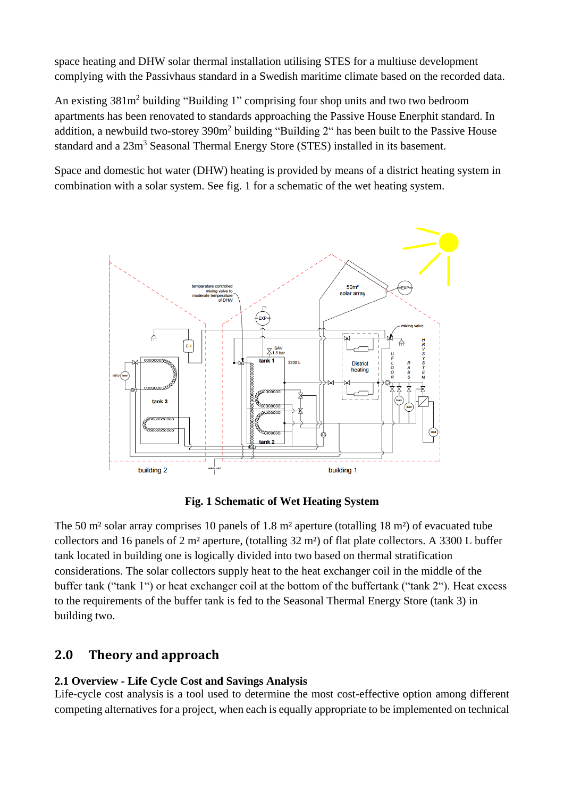space heating and DHW solar thermal installation utilising STES for a multiuse development complying with the Passivhaus standard in a Swedish maritime climate based on the recorded data.

An existing 381m<sup>2</sup> building "Building 1" comprising four shop units and two two bedroom apartments has been renovated to standards approaching the Passive House Enerphit standard. In addition, a newbuild two-storey  $390m^2$  building "Building 2" has been built to the Passive House standard and a  $23m<sup>3</sup>$  Seasonal Thermal Energy Store (STES) installed in its basement.

Space and domestic hot water (DHW) heating is provided by means of a district heating system in combination with a solar system. See fig. 1 for a schematic of the wet heating system.



**Fig. 1 Schematic of Wet Heating System**

The 50 m<sup>2</sup> solar array comprises 10 panels of 1.8 m<sup>2</sup> aperture (totalling 18 m<sup>2</sup>) of evacuated tube collectors and 16 panels of 2 m² aperture, (totalling 32 m²) of flat plate collectors. A 3300 L buffer tank located in building one is logically divided into two based on thermal stratification considerations. The solar collectors supply heat to the heat exchanger coil in the middle of the buffer tank ("tank 1") or heat exchanger coil at the bottom of the buffertank ("tank 2"). Heat excess to the requirements of the buffer tank is fed to the Seasonal Thermal Energy Store (tank 3) in building two.

## **2.0 Theory and approach**

### **2.1 Overview - Life Cycle Cost and Savings Analysis**

Life-cycle cost analysis is a tool used to determine the most cost-effective option among different competing alternatives for a project, when each is equally appropriate to be implemented on technical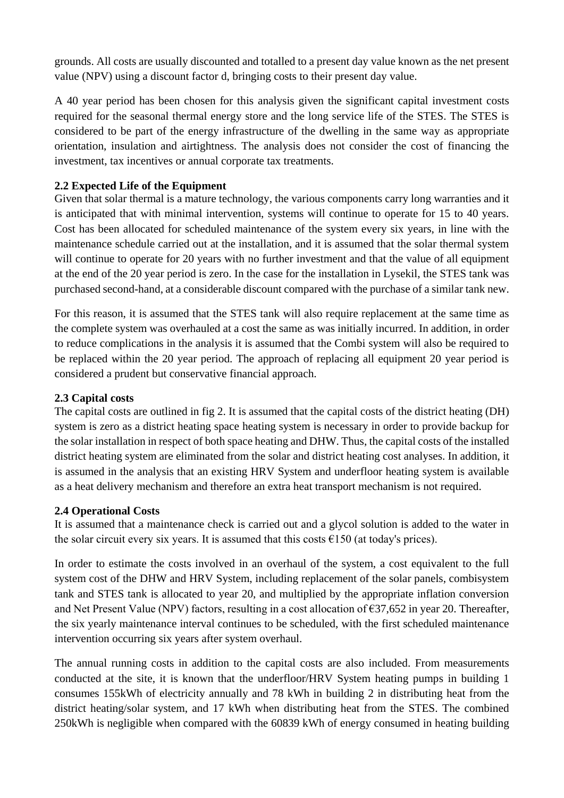grounds. All costs are usually discounted and totalled to a present day value known as the net present value (NPV) using a discount factor d, bringing costs to their present day value.

A 40 year period has been chosen for this analysis given the significant capital investment costs required for the seasonal thermal energy store and the long service life of the STES. The STES is considered to be part of the energy infrastructure of the dwelling in the same way as appropriate orientation, insulation and airtightness. The analysis does not consider the cost of financing the investment, tax incentives or annual corporate tax treatments.

### **2.2 Expected Life of the Equipment**

Given that solar thermal is a mature technology, the various components carry long warranties and it is anticipated that with minimal intervention, systems will continue to operate for 15 to 40 years. Cost has been allocated for scheduled maintenance of the system every six years, in line with the maintenance schedule carried out at the installation, and it is assumed that the solar thermal system will continue to operate for 20 years with no further investment and that the value of all equipment at the end of the 20 year period is zero. In the case for the installation in Lysekil, the STES tank was purchased second-hand, at a considerable discount compared with the purchase of a similar tank new.

For this reason, it is assumed that the STES tank will also require replacement at the same time as the complete system was overhauled at a cost the same as was initially incurred. In addition, in order to reduce complications in the analysis it is assumed that the Combi system will also be required to be replaced within the 20 year period. The approach of replacing all equipment 20 year period is considered a prudent but conservative financial approach.

#### **2.3 Capital costs**

The capital costs are outlined in fig 2. It is assumed that the capital costs of the district heating (DH) system is zero as a district heating space heating system is necessary in order to provide backup for the solar installation in respect of both space heating and DHW. Thus, the capital costs of the installed district heating system are eliminated from the solar and district heating cost analyses. In addition, it is assumed in the analysis that an existing HRV System and underfloor heating system is available as a heat delivery mechanism and therefore an extra heat transport mechanism is not required.

#### **2.4 Operational Costs**

It is assumed that a maintenance check is carried out and a glycol solution is added to the water in the solar circuit every six years. It is assumed that this costs  $\epsilon$ 150 (at today's prices).

In order to estimate the costs involved in an overhaul of the system, a cost equivalent to the full system cost of the DHW and HRV System, including replacement of the solar panels, combisystem tank and STES tank is allocated to year 20, and multiplied by the appropriate inflation conversion and Net Present Value (NPV) factors, resulting in a cost allocation of €37,652 in year 20. Thereafter, the six yearly maintenance interval continues to be scheduled, with the first scheduled maintenance intervention occurring six years after system overhaul.

The annual running costs in addition to the capital costs are also included. From measurements conducted at the site, it is known that the underfloor/HRV System heating pumps in building 1 consumes 155kWh of electricity annually and 78 kWh in building 2 in distributing heat from the district heating/solar system, and 17 kWh when distributing heat from the STES. The combined 250kWh is negligible when compared with the 60839 kWh of energy consumed in heating building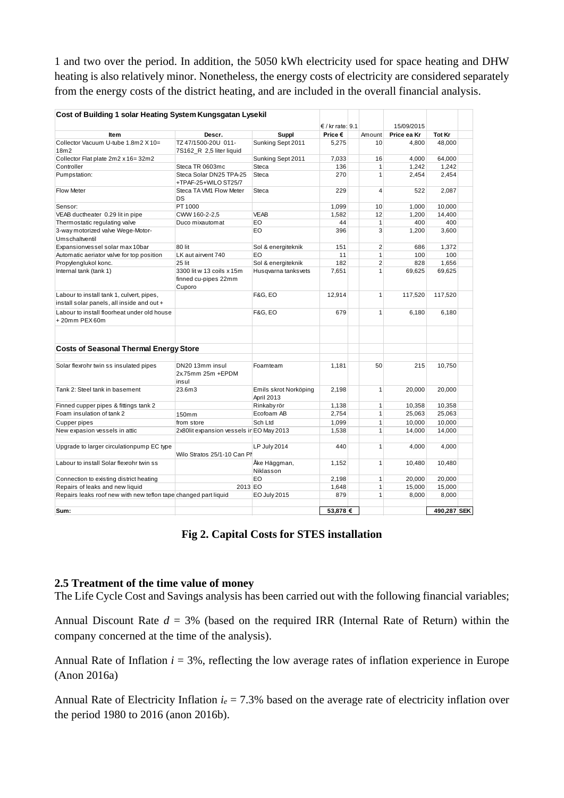1 and two over the period. In addition, the 5050 kWh electricity used for space heating and DHW heating is also relatively minor. Nonetheless, the energy costs of electricity are considered separately from the energy costs of the district heating, and are included in the overall financial analysis.

|                                                                                         |                                                             |                                     | € / kr rate: 9.1 |                | 15/09/2015  |             |  |
|-----------------------------------------------------------------------------------------|-------------------------------------------------------------|-------------------------------------|------------------|----------------|-------------|-------------|--|
| Item                                                                                    | Descr.                                                      | Suppl                               | Price €          | Amount         | Price ea Kr | Tot Kr      |  |
| Collector Vacuum U-tube 1.8m2 X 10=<br>18m2                                             | TZ 47/1500-20U 011-<br>7S162_R 2,5 liter liquid             | Sunking Sept 2011                   | 5,275            | 10             | 4.800       | 48.000      |  |
| Collector Flat plate 2m2 x 16=32m2                                                      |                                                             | Sunking Sept 2011                   | 7,033            | 16             | 4,000       | 64,000      |  |
| Controller                                                                              | Steca TR 0603mc                                             | Steca                               | 136              | $\mathbf{1}$   | 1,242       | 1,242       |  |
| Pumpstation:                                                                            | Steca Solar DN25 TPA-25<br>+TPAF-25+WILO ST25/7             | Steca                               | 270              | $\mathbf{1}$   | 2,454       | 2,454       |  |
| <b>Flow Meter</b>                                                                       | Steca TA VM1 Flow Meter<br>DS                               | Steca                               | 229              | $\overline{4}$ | 522         | 2,087       |  |
| Sensor:                                                                                 | PT 1000                                                     |                                     | 1,099            | 10             | 1,000       | 10,000      |  |
| VEAB ductheater 0.29 lit in pipe                                                        | CWW 160-2-2.5                                               | <b>VEAB</b>                         | 1.582            | 12             | 1.200       | 14.400      |  |
| Thermostatic regulating valve                                                           | Duco mixautomat                                             | EO                                  | 44               | $\mathbf{1}$   | 400         | 400         |  |
| 3-way motorized valve Wege-Motor-<br>Umschaltventil                                     |                                                             | EO                                  | 396              | 3              | 1,200       | 3,600       |  |
| Expansionvessel solar max 10bar                                                         | 80 lit                                                      | Sol & energiteknik                  | 151              | $\overline{2}$ | 686         | 1,372       |  |
| Automatic aeriator valve for top position                                               | LK aut airvent 740                                          | EO                                  | 11               | $\mathbf{1}$   | 100         | 100         |  |
| Propylenglukol konc.                                                                    | 25 lit                                                      | Sol & energiteknik                  | 182              | $\overline{2}$ | 828         | 1,656       |  |
| Internal tank (tank 1)                                                                  | 3300 lit w 13 coils x 15m<br>finned cu-pipes 22mm<br>Cuporo | Husqvarna tanksvets                 | 7,651            | $\mathbf{1}$   | 69,625      | 69,625      |  |
| Labour to install tank 1, culvert, pipes,<br>install solar panels, all inside and out + |                                                             | <b>F&amp;G, EO</b>                  | 12,914           | $\mathbf{1}$   | 117,520     | 117,520     |  |
| Labour to install floorheat under old house<br>+20mm PEX60m                             |                                                             | <b>F&amp;G, EO</b>                  | 679              | $\mathbf{1}$   | 6,180       | 6,180       |  |
| <b>Costs of Seasonal Thermal Energy Store</b>                                           |                                                             |                                     |                  |                |             |             |  |
| Solar flexrohr twin ss insulated pipes                                                  | DN20 13mm insul<br>2x.75mm 25m +EPDM<br>insul               | Foamteam                            | 1,181            | 50             | 215         | 10,750      |  |
| Tank 2: Steel tank in basement                                                          | 23.6m3                                                      | Emils skrot Norköping<br>April 2013 | 2,198            | $\mathbf{1}$   | 20,000      | 20,000      |  |
| Finned cupper pipes & fittings tank 2                                                   |                                                             | Rinkaby rör                         | 1,138            | $\mathbf{1}$   | 10,358      | 10,358      |  |
| Foam insulation of tank 2                                                               | 150mm                                                       | Ecofoam AB                          | 2,754            | $\mathbf{1}$   | 25,063      | 25,063      |  |
| <b>Cupper pipes</b>                                                                     | from store                                                  | Sch Ltd                             | 1,099            | 1              | 10,000      | 10,000      |  |
| New expasion vessels in attic                                                           | 2x80lit expansion vessels ir EO May 2013                    |                                     | 1.538            | $\mathbf{1}$   | 14,000      | 14,000      |  |
| Upgrade to larger circulationpump EC type                                               | Wilo Stratos 25/1-10 Can Pl                                 | LP July 2014                        | 440              | $\mathbf{1}$   | 4,000       | 4,000       |  |
| Labour to install Solar flexrohr twin ss                                                |                                                             | Åke Häggman,<br>Niklasson           | 1,152            | $\mathbf{1}$   | 10,480      | 10,480      |  |
| Connection to existing district heating                                                 |                                                             | EO                                  | 2,198            | $\mathbf{1}$   | 20,000      | 20,000      |  |
| Repairs of leaks and new liquid                                                         | 2013 EO                                                     |                                     | 1,648            | $\mathbf{1}$   | 15,000      | 15,000      |  |
| Repairs leaks roof new with new teflon tape changed part liquid                         |                                                             | EO July 2015                        | 879              | $\mathbf{1}$   | 8,000       | 8,000       |  |
| Sum:                                                                                    |                                                             |                                     | 53,878 €         |                |             | 490,287 SEK |  |

**Fig 2. Capital Costs for STES installation**

#### **2.5 Treatment of the time value of money**

The Life Cycle Cost and Savings analysis has been carried out with the following financial variables;

Annual Discount Rate  $d = 3%$  (based on the required IRR (Internal Rate of Return) within the company concerned at the time of the analysis).

Annual Rate of Inflation  $i = 3\%$ , reflecting the low average rates of inflation experience in Europe (Anon 2016a)

Annual Rate of Electricity Inflation  $i_e = 7.3\%$  based on the average rate of electricity inflation over the period 1980 to 2016 (anon 2016b).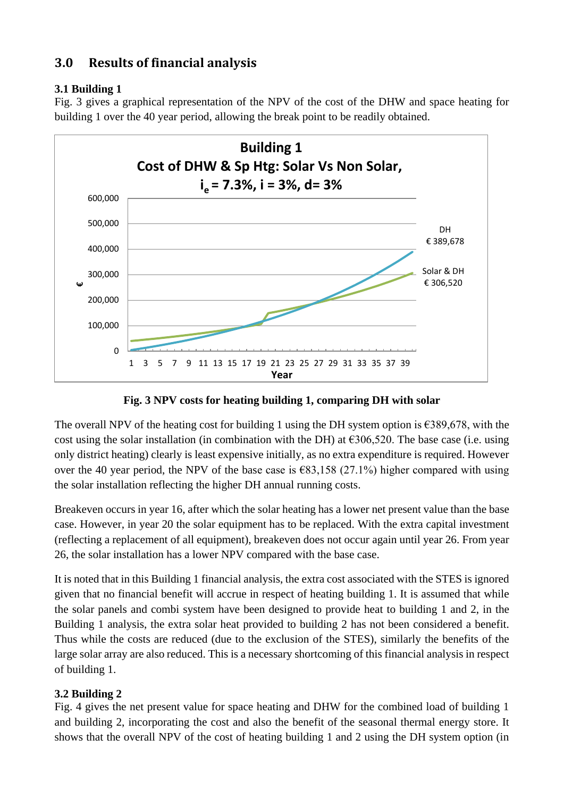## **3.0 Results of financial analysis**

### **3.1 Building 1**

Fig. 3 gives a graphical representation of the NPV of the cost of the DHW and space heating for building 1 over the 40 year period, allowing the break point to be readily obtained.



**Fig. 3 NPV costs for heating building 1, comparing DH with solar**

The overall NPV of the heating cost for building 1 using the DH system option is  $\epsilon$ 389,678, with the cost using the solar installation (in combination with the DH) at  $\epsilon$ 306,520. The base case (i.e. using only district heating) clearly is least expensive initially, as no extra expenditure is required. However over the 40 year period, the NPV of the base case is  $\epsilon$ 83,158 (27.1%) higher compared with using the solar installation reflecting the higher DH annual running costs.

Breakeven occurs in year 16, after which the solar heating has a lower net present value than the base case. However, in year 20 the solar equipment has to be replaced. With the extra capital investment (reflecting a replacement of all equipment), breakeven does not occur again until year 26. From year 26, the solar installation has a lower NPV compared with the base case.

It is noted that in this Building 1 financial analysis, the extra cost associated with the STES is ignored given that no financial benefit will accrue in respect of heating building 1. It is assumed that while the solar panels and combi system have been designed to provide heat to building 1 and 2, in the Building 1 analysis, the extra solar heat provided to building 2 has not been considered a benefit. Thus while the costs are reduced (due to the exclusion of the STES), similarly the benefits of the large solar array are also reduced. This is a necessary shortcoming of this financial analysis in respect of building 1.

### **3.2 Building 2**

Fig. 4 gives the net present value for space heating and DHW for the combined load of building 1 and building 2, incorporating the cost and also the benefit of the seasonal thermal energy store. It shows that the overall NPV of the cost of heating building 1 and 2 using the DH system option (in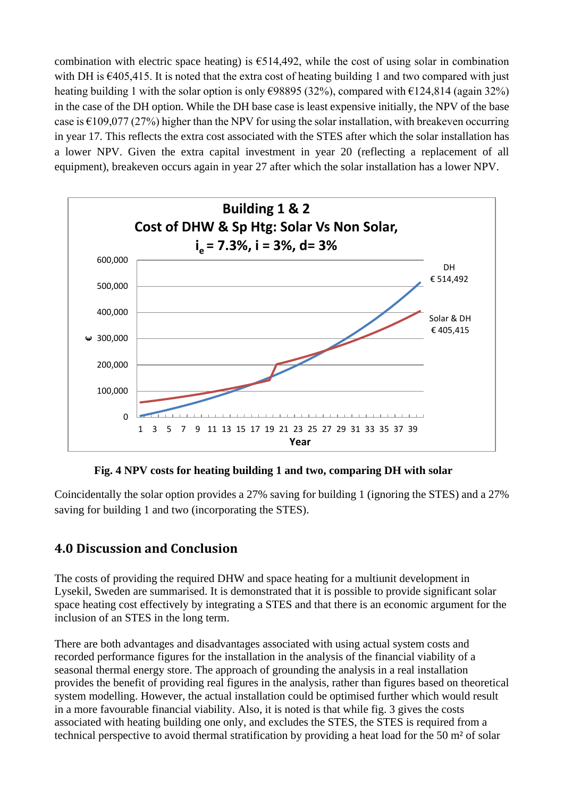combination with electric space heating) is  $\epsilon$ 514,492, while the cost of using solar in combination with DH is  $\epsilon$ 405,415. It is noted that the extra cost of heating building 1 and two compared with just heating building 1 with the solar option is only  $\epsilon$ 98895 (32%), compared with  $\epsilon$ 124,814 (again 32%) in the case of the DH option. While the DH base case is least expensive initially, the NPV of the base case is  $\epsilon$ 109,077 (27%) higher than the NPV for using the solar installation, with breakeven occurring in year 17. This reflects the extra cost associated with the STES after which the solar installation has a lower NPV. Given the extra capital investment in year 20 (reflecting a replacement of all equipment), breakeven occurs again in year 27 after which the solar installation has a lower NPV.



**Fig. 4 NPV costs for heating building 1 and two, comparing DH with solar**

Coincidentally the solar option provides a 27% saving for building 1 (ignoring the STES) and a 27% saving for building 1 and two (incorporating the STES).

## **4.0 Discussion and Conclusion**

The costs of providing the required DHW and space heating for a multiunit development in Lysekil, Sweden are summarised. It is demonstrated that it is possible to provide significant solar space heating cost effectively by integrating a STES and that there is an economic argument for the inclusion of an STES in the long term.

There are both advantages and disadvantages associated with using actual system costs and recorded performance figures for the installation in the analysis of the financial viability of a seasonal thermal energy store. The approach of grounding the analysis in a real installation provides the benefit of providing real figures in the analysis, rather than figures based on theoretical system modelling. However, the actual installation could be optimised further which would result in a more favourable financial viability. Also, it is noted is that while fig. 3 gives the costs associated with heating building one only, and excludes the STES, the STES is required from a technical perspective to avoid thermal stratification by providing a heat load for the 50 m² of solar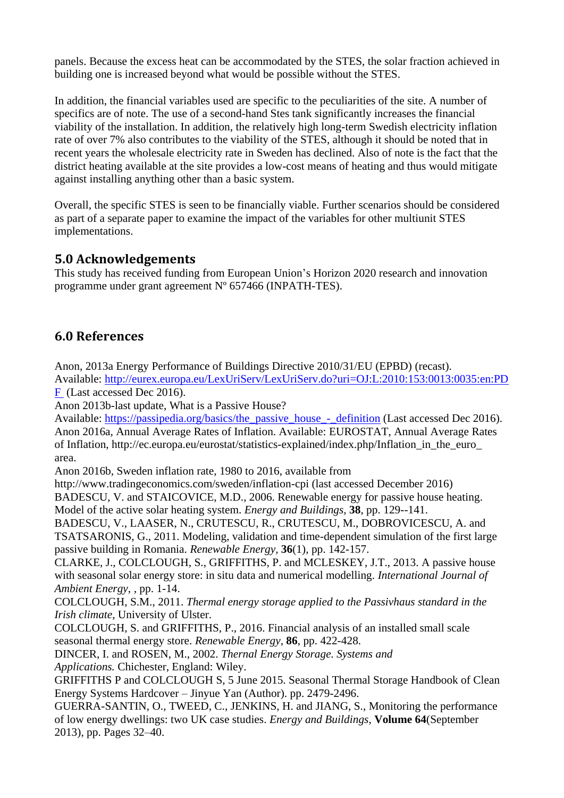panels. Because the excess heat can be accommodated by the STES, the solar fraction achieved in building one is increased beyond what would be possible without the STES.

In addition, the financial variables used are specific to the peculiarities of the site. A number of specifics are of note. The use of a second-hand Stes tank significantly increases the financial viability of the installation. In addition, the relatively high long-term Swedish electricity inflation rate of over 7% also contributes to the viability of the STES, although it should be noted that in recent years the wholesale electricity rate in Sweden has declined. Also of note is the fact that the district heating available at the site provides a low-cost means of heating and thus would mitigate against installing anything other than a basic system.

Overall, the specific STES is seen to be financially viable. Further scenarios should be considered as part of a separate paper to examine the impact of the variables for other multiunit STES implementations.

### **5.0 Acknowledgements**

This study has received funding from European Union's Horizon 2020 research and innovation programme under grant agreement Nº 657466 (INPATH-TES).

## **6.0 References**

Anon, 2013a Energy Performance of Buildings Directive 2010/31/EU (EPBD) (recast).

Available: [http://eurex.europa.eu/LexUriServ/LexUriServ.do?uri=OJ:L:2010:153:0013:0035:en:PD](http://eurex.europa.eu/LexUriServ/LexUriServ.do?uri=OJ:L:2010:153:0013:0035:en:PDF%20) [F](http://eurex.europa.eu/LexUriServ/LexUriServ.do?uri=OJ:L:2010:153:0013:0035:en:PDF%20) (Last accessed Dec 2016).

Anon 2013b-last update, What is a Passive House?

Available: [https://passipedia.org/basics/the\\_passive\\_house\\_-\\_definition](https://passipedia.org/basics/the_passive_house_-_definition) (Last accessed Dec 2016). Anon 2016a, Annual Average Rates of Inflation. Available: EUROSTAT, Annual Average Rates of Inflation, http://ec.europa.eu/eurostat/statistics-explained/index.php/Inflation\_in\_the\_euro\_ area.

Anon 2016b, Sweden inflation rate, 1980 to 2016, available from

http://www.tradingeconomics.com/sweden/inflation-cpi (last accessed December 2016) BADESCU, V. and STAICOVICE, M.D., 2006. Renewable energy for passive house heating.

Model of the active solar heating system. *Energy and Buildings,* **38**, pp. 129--141.

BADESCU, V., LAASER, N., CRUTESCU, R., CRUTESCU, M., DOBROVICESCU, A. and TSATSARONIS, G., 2011. Modeling, validation and time-dependent simulation of the first large passive building in Romania. *Renewable Energy,* **36**(1), pp. 142-157.

CLARKE, J., COLCLOUGH, S., GRIFFITHS, P. and MCLESKEY, J.T., 2013. A passive house with seasonal solar energy store: in situ data and numerical modelling. *International Journal of Ambient Energy,* , pp. 1-14.

COLCLOUGH, S.M., 2011. *Thermal energy storage applied to the Passivhaus standard in the Irish climate*, University of Ulster.

COLCLOUGH, S. and GRIFFITHS, P., 2016. Financial analysis of an installed small scale seasonal thermal energy store. *Renewable Energy,* **86**, pp. 422-428.

DINCER, I. and ROSEN, M., 2002. *Thernal Energy Storage. Systems and Applications.* Chichester, England: Wiley.

GRIFFITHS P and COLCLOUGH S, 5 June 2015. Seasonal Thermal Storage Handbook of Clean Energy Systems Hardcover – Jinyue Yan (Author). pp. 2479-2496.

GUERRA-SANTIN, O., TWEED, C., JENKINS, H. and JIANG, S., Monitoring the performance of low energy dwellings: two UK case studies. *Energy and Buildings,* **Volume 64**(September 2013), pp. Pages 32–40.